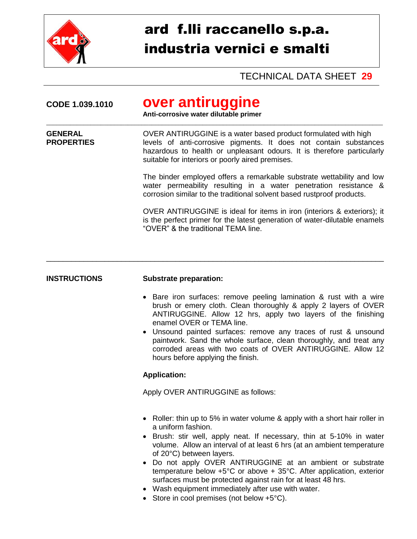

## ard f.lli raccanello s.p.a. industria vernici e smalti

TECHNICAL DATA SHEET **29**

| CODE 1.039.1010                     | over antiruggine<br>Anti-corrosive water dilutable primer                                                                                                                                                                                                         |  |  |
|-------------------------------------|-------------------------------------------------------------------------------------------------------------------------------------------------------------------------------------------------------------------------------------------------------------------|--|--|
| <b>GENERAL</b><br><b>PROPERTIES</b> | OVER ANTIRUGGINE is a water based product formulated with high<br>levels of anti-corrosive pigments. It does not contain substances<br>hazardous to health or unpleasant odours. It is therefore particularly<br>suitable for interiors or poorly aired premises. |  |  |
|                                     | The binder employed offers a remarkable substrate wettability and low<br>water permeability resulting in a water penetration resistance &<br>corrosion similar to the traditional solvent based rustproof products.                                               |  |  |
|                                     | OVER ANTIRUGGINE is ideal for items in iron (interiors & exteriors); it<br>is the perfect primer for the latest generation of water-dilutable enamels<br>"OVER" & the traditional TEMA line.                                                                      |  |  |
|                                     |                                                                                                                                                                                                                                                                   |  |  |
| <b>INSTRUCTIONS</b>                 | <b>Substrate preparation:</b>                                                                                                                                                                                                                                     |  |  |
|                                     | • Bare iron surfaces: remove peeling lamination & rust with a wire                                                                                                                                                                                                |  |  |

- brush or emery cloth. Clean thoroughly & apply 2 layers of OVER ANTIRUGGINE. Allow 12 hrs, apply two layers of the finishing enamel OVER or TEMA line.
- Unsound painted surfaces: remove any traces of rust & unsound paintwork. Sand the whole surface, clean thoroughly, and treat any corroded areas with two coats of OVER ANTIRUGGINE. Allow 12 hours before applying the finish.

## **Application:**

Apply OVER ANTIRUGGINE as follows:

- Roller: thin up to 5% in water volume & apply with a short hair roller in a uniform fashion.
- Brush: stir well, apply neat. If necessary, thin at 5-10% in water volume. Allow an interval of at least 6 hrs (at an ambient temperature of 20°C) between layers.
- Do not apply OVER ANTIRUGGINE at an ambient or substrate temperature below +5°C or above + 35°C. After application, exterior surfaces must be protected against rain for at least 48 hrs.
- Wash equipment immediately after use with water.
- $\bullet$  Store in cool premises (not below +5 $\degree$ C).